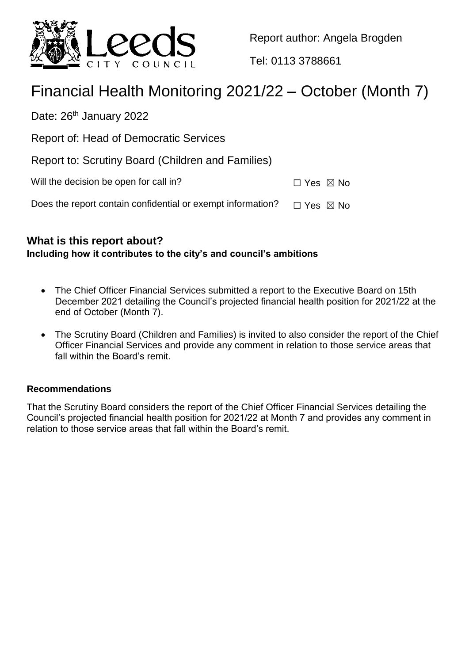

Report author: Angela Brogden

Tel: 0113 3788661

# Financial Health Monitoring 2021/22 – October (Month 7)

Date: 26<sup>th</sup> January 2022

Report of: Head of Democratic Services

Report to: Scrutiny Board (Children and Families)

| Will the decision be open for call in?<br>$\Box$ Yes $\boxtimes$ No |
|---------------------------------------------------------------------|
|---------------------------------------------------------------------|

Does the report contain confidential or exempt information?  $\Box$  Yes  $\boxtimes$  No

## **What is this report about?**

**Including how it contributes to the city's and council's ambitions**

- The Chief Officer Financial Services submitted a report to the Executive Board on 15th December 2021 detailing the Council's projected financial health position for 2021/22 at the end of October (Month 7).
- The Scrutiny Board (Children and Families) is invited to also consider the report of the Chief Officer Financial Services and provide any comment in relation to those service areas that fall within the Board's remit.

## **Recommendations**

That the Scrutiny Board considers the report of the Chief Officer Financial Services detailing the Council's projected financial health position for 2021/22 at Month 7 and provides any comment in relation to those service areas that fall within the Board's remit.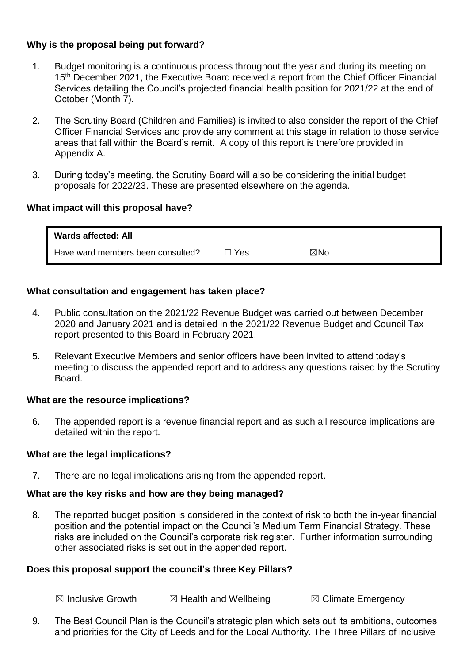### **Why is the proposal being put forward?**

- 1. Budget monitoring is a continuous process throughout the year and during its meeting on 15<sup>th</sup> December 2021, the Executive Board received a report from the Chief Officer Financial Services detailing the Council's projected financial health position for 2021/22 at the end of October (Month 7).
- 2. The Scrutiny Board (Children and Families) is invited to also consider the report of the Chief Officer Financial Services and provide any comment at this stage in relation to those service areas that fall within the Board's remit. A copy of this report is therefore provided in Appendix A.
- 3. During today's meeting, the Scrutiny Board will also be considering the initial budget proposals for 2022/23. These are presented elsewhere on the agenda.

#### **What impact will this proposal have?**

| <b>Wards affected: All</b>        |       |                |
|-----------------------------------|-------|----------------|
| Have ward members been consulted? | □ Yes | $\boxtimes$ No |

#### **What consultation and engagement has taken place?**

- 4. Public consultation on the 2021/22 Revenue Budget was carried out between December 2020 and January 2021 and is detailed in the 2021/22 Revenue Budget and Council Tax report presented to this Board in February 2021.
- 5. Relevant Executive Members and senior officers have been invited to attend today's meeting to discuss the appended report and to address any questions raised by the Scrutiny Board.

#### **What are the resource implications?**

6. The appended report is a revenue financial report and as such all resource implications are detailed within the report.

#### **What are the legal implications?**

7. There are no legal implications arising from the appended report.

## **What are the key risks and how are they being managed?**

8. The reported budget position is considered in the context of risk to both the in-year financial position and the potential impact on the Council's Medium Term Financial Strategy. These risks are included on the Council's corporate risk register. Further information surrounding other associated risks is set out in the appended report.

## **Does this proposal support the council's three Key Pillars?**

 $\boxtimes$  Inclusive Growth  $\boxtimes$  Health and Wellbeing  $\boxtimes$  Climate Emergency

9. The Best Council Plan is the Council's strategic plan which sets out its ambitions, outcomes and priorities for the City of Leeds and for the Local Authority. The Three Pillars of inclusive